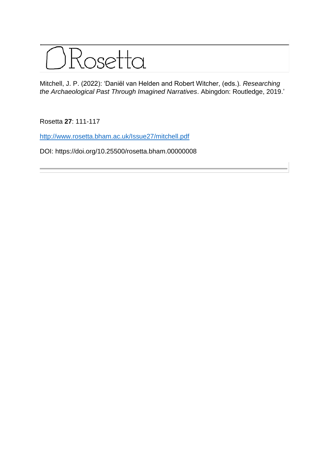

Mitchell, J. P. (2022): 'Daniël van Helden and Robert Witcher, (eds.). *Researching the Archaeological Past Through Imagined Narratives*. Abingdon: Routledge, 2019.'

Rosetta **27**: 111-117

<http://www.rosetta.bham.ac.uk/Issue27/mitchell.pdf>

DOI: https://doi.org/10.25500/rosetta.bham.00000008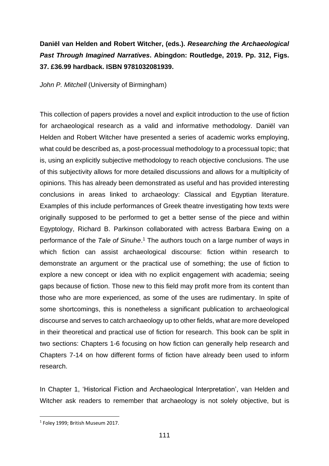## **Daniël van Helden and Robert Witcher, (eds.).** *Researching the Archaeological Past Through Imagined Narratives***. Abingdon: Routledge, 2019. Pp. 312, Figs. 37. £36.99 hardback. ISBN 9781032081939.**

*John P. Mitchell* (University of Birmingham)

This collection of papers provides a novel and explicit introduction to the use of fiction for archaeological research as a valid and informative methodology. Daniël van Helden and Robert Witcher have presented a series of academic works employing, what could be described as, a post-processual methodology to a processual topic; that is, using an explicitly subjective methodology to reach objective conclusions. The use of this subjectivity allows for more detailed discussions and allows for a multiplicity of opinions. This has already been demonstrated as useful and has provided interesting conclusions in areas linked to archaeology: Classical and Egyptian literature. Examples of this include performances of Greek theatre investigating how texts were originally supposed to be performed to get a better sense of the piece and within Egyptology, Richard B. Parkinson collaborated with actress Barbara Ewing on a performance of the *Tale of Sinuhe*. <sup>1</sup> The authors touch on a large number of ways in which fiction can assist archaeological discourse: fiction within research to demonstrate an argument or the practical use of something; the use of fiction to explore a new concept or idea with no explicit engagement with academia; seeing gaps because of fiction. Those new to this field may profit more from its content than those who are more experienced, as some of the uses are rudimentary. In spite of some shortcomings, this is nonetheless a significant publication to archaeological discourse and serves to catch archaeology up to other fields, what are more developed in their theoretical and practical use of fiction for research. This book can be split in two sections: Chapters 1-6 focusing on how fiction can generally help research and Chapters 7-14 on how different forms of fiction have already been used to inform research.

In Chapter 1, 'Historical Fiction and Archaeological Interpretation', van Helden and Witcher ask readers to remember that archaeology is not solely objective, but is

<sup>1</sup> Foley 1999; British Museum 2017.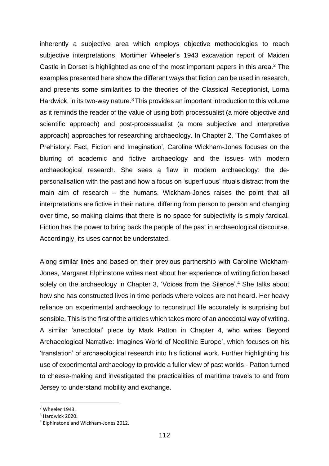inherently a subjective area which employs objective methodologies to reach subjective interpretations. Mortimer Wheeler's 1943 excavation report of Maiden Castle in Dorset is highlighted as one of the most important papers in this area.<sup>2</sup> The examples presented here show the different ways that fiction can be used in research, and presents some similarities to the theories of the Classical Receptionist, Lorna Hardwick, in its two-way nature.<sup>3</sup> This provides an important introduction to this volume as it reminds the reader of the value of using both processualist (a more objective and scientific approach) and post-processualist (a more subjective and interpretive approach) approaches for researching archaeology. In Chapter 2, 'The Cornflakes of Prehistory: Fact, Fiction and Imagination', Caroline Wickham-Jones focuses on the blurring of academic and fictive archaeology and the issues with modern archaeological research. She sees a flaw in modern archaeology: the depersonalisation with the past and how a focus on 'superfluous' rituals distract from the main aim of research – the humans. Wickham-Jones raises the point that all interpretations are fictive in their nature, differing from person to person and changing over time, so making claims that there is no space for subjectivity is simply farcical. Fiction has the power to bring back the people of the past in archaeological discourse. Accordingly, its uses cannot be understated.

Along similar lines and based on their previous partnership with Caroline Wickham-Jones, Margaret Elphinstone writes next about her experience of writing fiction based solely on the archaeology in Chapter 3, 'Voices from the Silence'.<sup>4</sup> She talks about how she has constructed lives in time periods where voices are not heard. Her heavy reliance on experimental archaeology to reconstruct life accurately is surprising but sensible. This is the first of the articles which takes more of an anecdotal way of writing. A similar 'anecdotal' piece by Mark Patton in Chapter 4, who writes 'Beyond Archaeological Narrative: Imagines World of Neolithic Europe', which focuses on his 'translation' of archaeological research into his fictional work. Further highlighting his use of experimental archaeology to provide a fuller view of past worlds - Patton turned to cheese-making and investigated the practicalities of maritime travels to and from Jersey to understand mobility and exchange.

<sup>2</sup> Wheeler 1943.

<sup>&</sup>lt;sup>3</sup> Hardwick 2020.

<sup>4</sup> Elphinstone and Wickham-Jones 2012.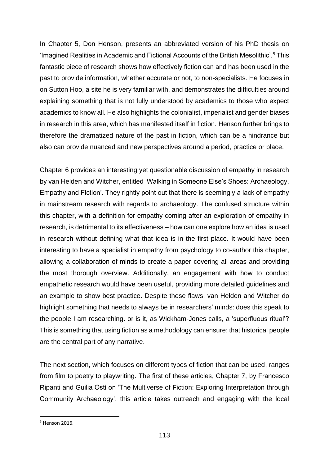In Chapter 5, Don Henson, presents an abbreviated version of his PhD thesis on 'Imagined Realities in Academic and Fictional Accounts of the British Mesolithic'.<sup>5</sup> This fantastic piece of research shows how effectively fiction can and has been used in the past to provide information, whether accurate or not, to non-specialists. He focuses in on Sutton Hoo, a site he is very familiar with, and demonstrates the difficulties around explaining something that is not fully understood by academics to those who expect academics to know all. He also highlights the colonialist, imperialist and gender biases in research in this area, which has manifested itself in fiction. Henson further brings to therefore the dramatized nature of the past in fiction, which can be a hindrance but also can provide nuanced and new perspectives around a period, practice or place.

Chapter 6 provides an interesting yet questionable discussion of empathy in research by van Helden and Witcher, entitled 'Walking in Someone Else's Shoes: Archaeology, Empathy and Fiction'. They rightly point out that there is seemingly a lack of empathy in mainstream research with regards to archaeology. The confused structure within this chapter, with a definition for empathy coming after an exploration of empathy in research, is detrimental to its effectiveness – how can one explore how an idea is used in research without defining what that idea is in the first place. It would have been interesting to have a specialist in empathy from psychology to co-author this chapter, allowing a collaboration of minds to create a paper covering all areas and providing the most thorough overview. Additionally, an engagement with how to conduct empathetic research would have been useful, providing more detailed guidelines and an example to show best practice. Despite these flaws, van Helden and Witcher do highlight something that needs to always be in researchers' minds: does this speak to the people I am researching. or is it, as Wickham-Jones calls, a 'superfluous ritual'? This is something that using fiction as a methodology can ensure: that historical people are the central part of any narrative.

The next section, which focuses on different types of fiction that can be used, ranges from film to poetry to playwriting. The first of these articles, Chapter 7, by Francesco Ripanti and Guilia Osti on 'The Multiverse of Fiction: Exploring Interpretation through Community Archaeology'. this article takes outreach and engaging with the local

<sup>5</sup> Henson 2016.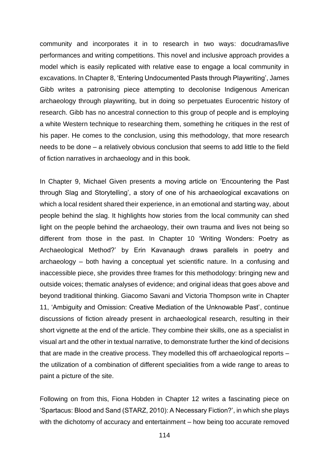community and incorporates it in to research in two ways: docudramas/live performances and writing competitions. This novel and inclusive approach provides a model which is easily replicated with relative ease to engage a local community in excavations. In Chapter 8, 'Entering Undocumented Pasts through Playwriting', James Gibb writes a patronising piece attempting to decolonise Indigenous American archaeology through playwriting, but in doing so perpetuates Eurocentric history of research. Gibb has no ancestral connection to this group of people and is employing a white Western technique to researching them, something he critiques in the rest of his paper. He comes to the conclusion, using this methodology, that more research needs to be done – a relatively obvious conclusion that seems to add little to the field of fiction narratives in archaeology and in this book.

In Chapter 9, Michael Given presents a moving article on 'Encountering the Past through Slag and Storytelling', a story of one of his archaeological excavations on which a local resident shared their experience, in an emotional and starting way, about people behind the slag. It highlights how stories from the local community can shed light on the people behind the archaeology, their own trauma and lives not being so different from those in the past. In Chapter 10 'Writing Wonders: Poetry as Archaeological Method?' by Erin Kavanaugh draws parallels in poetry and archaeology – both having a conceptual yet scientific nature. In a confusing and inaccessible piece, she provides three frames for this methodology: bringing new and outside voices; thematic analyses of evidence; and original ideas that goes above and beyond traditional thinking. Giacomo Savani and Victoria Thompson write in Chapter 11, 'Ambiguity and Omission: Creative Mediation of the Unknowable Past', continue discussions of fiction already present in archaeological research, resulting in their short vignette at the end of the article. They combine their skills, one as a specialist in visual art and the other in textual narrative, to demonstrate further the kind of decisions that are made in the creative process. They modelled this off archaeological reports – the utilization of a combination of different specialities from a wide range to areas to paint a picture of the site.

Following on from this, Fiona Hobden in Chapter 12 writes a fascinating piece on 'Spartacus: Blood and Sand (STARZ, 2010): A Necessary Fiction?', in which she plays with the dichotomy of accuracy and entertainment – how being too accurate removed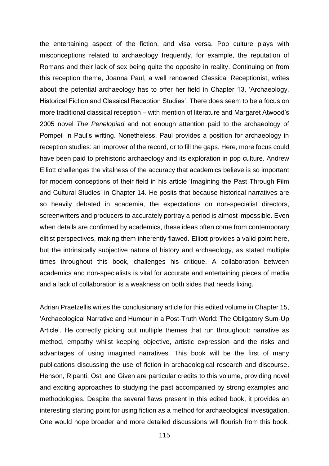the entertaining aspect of the fiction, and visa versa. Pop culture plays with misconceptions related to archaeology frequently, for example, the reputation of Romans and their lack of sex being quite the opposite in reality. Continuing on from this reception theme, Joanna Paul, a well renowned Classical Receptionist, writes about the potential archaeology has to offer her field in Chapter 13, 'Archaeology, Historical Fiction and Classical Reception Studies'. There does seem to be a focus on more traditional classical reception – with mention of literature and Margaret Atwood's 2005 novel *The Penelopiad* and not enough attention paid to the archaeology of Pompeii in Paul's writing. Nonetheless, Paul provides a position for archaeology in reception studies: an improver of the record, or to fill the gaps. Here, more focus could have been paid to prehistoric archaeology and its exploration in pop culture. Andrew Elliott challenges the vitalness of the accuracy that academics believe is so important for modern conceptions of their field in his article 'Imagining the Past Through Film and Cultural Studies' in Chapter 14. He posits that because historical narratives are so heavily debated in academia, the expectations on non-specialist directors, screenwriters and producers to accurately portray a period is almost impossible. Even when details are confirmed by academics, these ideas often come from contemporary elitist perspectives, making them inherently flawed. Elliott provides a valid point here, but the intrinsically subjective nature of history and archaeology, as stated multiple times throughout this book, challenges his critique. A collaboration between academics and non-specialists is vital for accurate and entertaining pieces of media and a lack of collaboration is a weakness on both sides that needs fixing.

Adrian Praetzellis writes the conclusionary article for this edited volume in Chapter 15, 'Archaeological Narrative and Humour in a Post-Truth World: The Obligatory Sum-Up Article'. He correctly picking out multiple themes that run throughout: narrative as method, empathy whilst keeping objective, artistic expression and the risks and advantages of using imagined narratives. This book will be the first of many publications discussing the use of fiction in archaeological research and discourse. Henson, Ripanti, Osti and Given are particular credits to this volume, providing novel and exciting approaches to studying the past accompanied by strong examples and methodologies. Despite the several flaws present in this edited book, it provides an interesting starting point for using fiction as a method for archaeological investigation. One would hope broader and more detailed discussions will flourish from this book,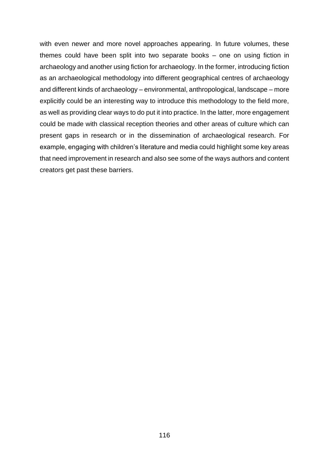with even newer and more novel approaches appearing. In future volumes, these themes could have been split into two separate books – one on using fiction in archaeology and another using fiction for archaeology. In the former, introducing fiction as an archaeological methodology into different geographical centres of archaeology and different kinds of archaeology – environmental, anthropological, landscape – more explicitly could be an interesting way to introduce this methodology to the field more, as well as providing clear ways to do put it into practice. In the latter, more engagement could be made with classical reception theories and other areas of culture which can present gaps in research or in the dissemination of archaeological research. For example, engaging with children's literature and media could highlight some key areas that need improvement in research and also see some of the ways authors and content creators get past these barriers.